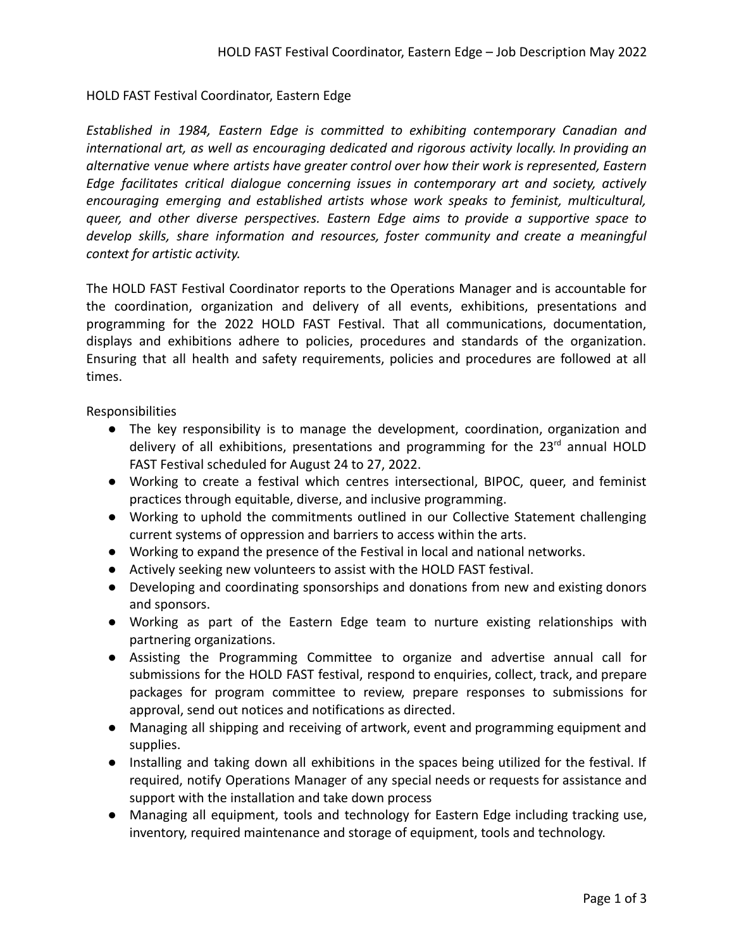## HOLD FAST Festival Coordinator, Eastern Edge

*Established in 1984, Eastern Edge is committed to exhibiting contemporary Canadian and international art, as well as encouraging dedicated and rigorous activity locally. In providing an alternative venue where artists have greater control over how their work is represented, Eastern Edge facilitates critical dialogue concerning issues in contemporary art and society, actively encouraging emerging and established artists whose work speaks to feminist, multicultural, queer, and other diverse perspectives. Eastern Edge aims to provide a supportive space to develop skills, share information and resources, foster community and create a meaningful context for artistic activity.*

The HOLD FAST Festival Coordinator reports to the Operations Manager and is accountable for the coordination, organization and delivery of all events, exhibitions, presentations and programming for the 2022 HOLD FAST Festival. That all communications, documentation, displays and exhibitions adhere to policies, procedures and standards of the organization. Ensuring that all health and safety requirements, policies and procedures are followed at all times.

Responsibilities

- The key responsibility is to manage the development, coordination, organization and delivery of all exhibitions, presentations and programming for the  $23<sup>rd</sup>$  annual HOLD FAST Festival scheduled for August 24 to 27, 2022.
- Working to create a festival which centres intersectional, BIPOC, queer, and feminist practices through equitable, diverse, and inclusive programming.
- Working to uphold the commitments outlined in our Collective Statement challenging current systems of oppression and barriers to access within the arts.
- Working to expand the presence of the Festival in local and national networks.
- Actively seeking new volunteers to assist with the HOLD FAST festival.
- Developing and coordinating sponsorships and donations from new and existing donors and sponsors.
- Working as part of the Eastern Edge team to nurture existing relationships with partnering organizations.
- Assisting the Programming Committee to organize and advertise annual call for submissions for the HOLD FAST festival, respond to enquiries, collect, track, and prepare packages for program committee to review, prepare responses to submissions for approval, send out notices and notifications as directed.
- Managing all shipping and receiving of artwork, event and programming equipment and supplies.
- Installing and taking down all exhibitions in the spaces being utilized for the festival. If required, notify Operations Manager of any special needs or requests for assistance and support with the installation and take down process
- Managing all equipment, tools and technology for Eastern Edge including tracking use, inventory, required maintenance and storage of equipment, tools and technology.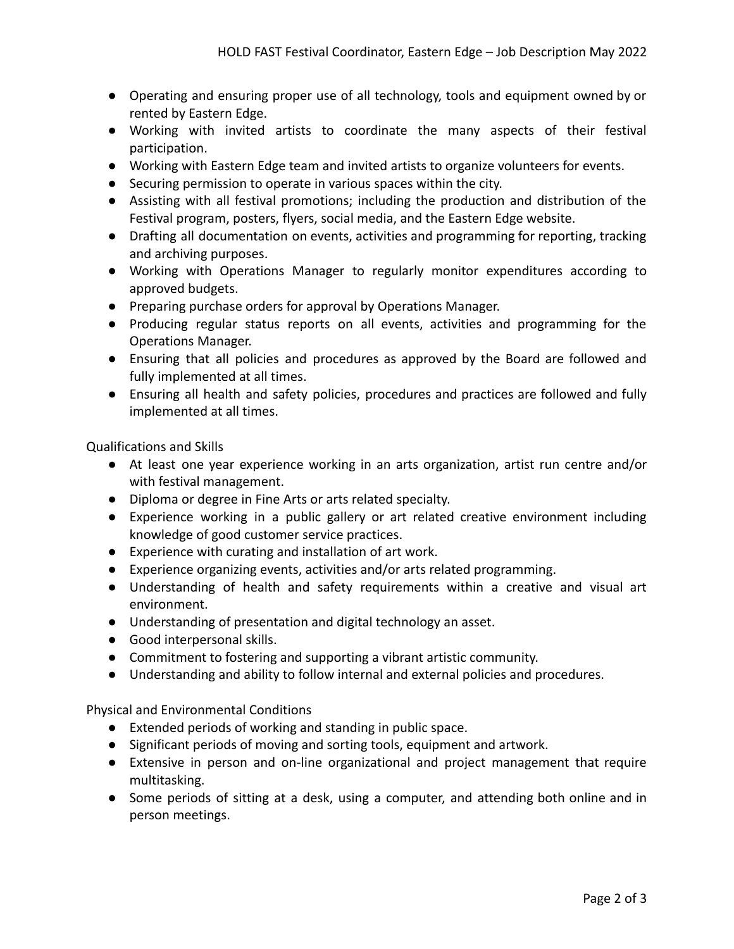- Operating and ensuring proper use of all technology, tools and equipment owned by or rented by Eastern Edge.
- Working with invited artists to coordinate the many aspects of their festival participation.
- Working with Eastern Edge team and invited artists to organize volunteers for events.
- Securing permission to operate in various spaces within the city.
- Assisting with all festival promotions; including the production and distribution of the Festival program, posters, flyers, social media, and the Eastern Edge website.
- Drafting all documentation on events, activities and programming for reporting, tracking and archiving purposes.
- Working with Operations Manager to regularly monitor expenditures according to approved budgets.
- Preparing purchase orders for approval by Operations Manager.
- Producing regular status reports on all events, activities and programming for the Operations Manager.
- Ensuring that all policies and procedures as approved by the Board are followed and fully implemented at all times.
- Ensuring all health and safety policies, procedures and practices are followed and fully implemented at all times.

Qualifications and Skills

- At least one year experience working in an arts organization, artist run centre and/or with festival management.
- Diploma or degree in Fine Arts or arts related specialty.
- Experience working in a public gallery or art related creative environment including knowledge of good customer service practices.
- Experience with curating and installation of art work.
- Experience organizing events, activities and/or arts related programming.
- Understanding of health and safety requirements within a creative and visual art environment.
- Understanding of presentation and digital technology an asset.
- Good interpersonal skills.
- Commitment to fostering and supporting a vibrant artistic community.
- Understanding and ability to follow internal and external policies and procedures.

Physical and Environmental Conditions

- Extended periods of working and standing in public space.
- Significant periods of moving and sorting tools, equipment and artwork.
- Extensive in person and on-line organizational and project management that require multitasking.
- Some periods of sitting at a desk, using a computer, and attending both online and in person meetings.